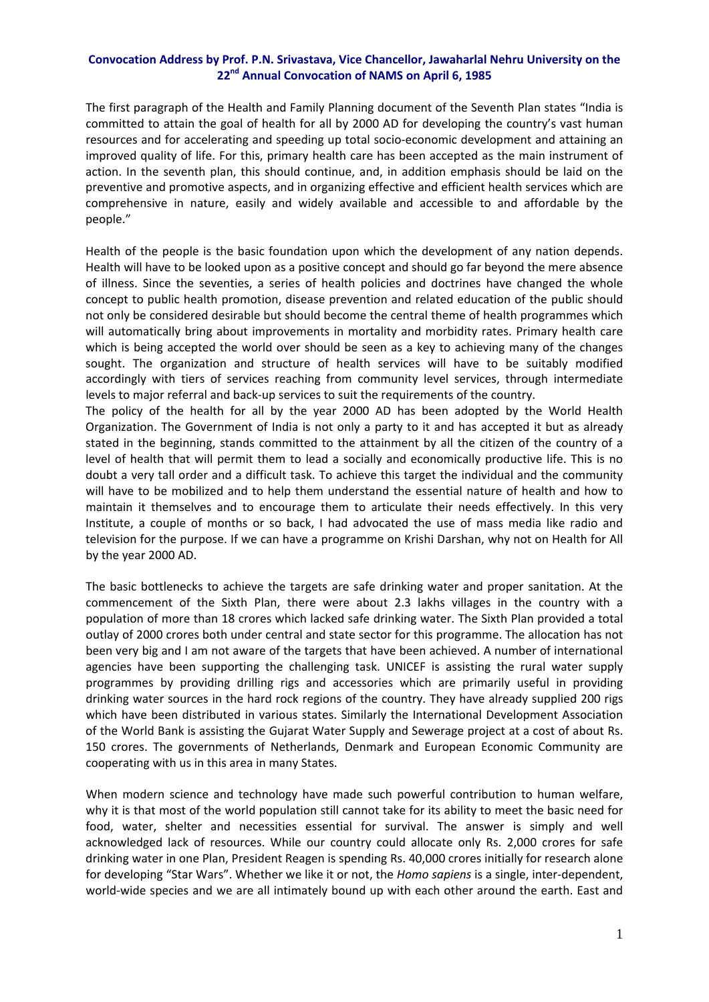## **Convocation Address by Prof. P.N. Srivastava, Vice Chancellor, Jawaharlal Nehru University on the 22nd Annual Convocation of NAMS on April 6, 1985**

The first paragraph of the Health and Family Planning document of the Seventh Plan states "India is committed to attain the goal of health for all by 2000 AD for developing the country's vast human resources and for accelerating and speeding up total socio‐economic development and attaining an improved quality of life. For this, primary health care has been accepted as the main instrument of action. In the seventh plan, this should continue, and, in addition emphasis should be laid on the preventive and promotive aspects, and in organizing effective and efficient health services which are comprehensive in nature, easily and widely available and accessible to and affordable by the people."

Health of the people is the basic foundation upon which the development of any nation depends. Health will have to be looked upon as a positive concept and should go far beyond the mere absence of illness. Since the seventies, a series of health policies and doctrines have changed the whole concept to public health promotion, disease prevention and related education of the public should not only be considered desirable but should become the central theme of health programmes which will automatically bring about improvements in mortality and morbidity rates. Primary health care which is being accepted the world over should be seen as a key to achieving many of the changes sought. The organization and structure of health services will have to be suitably modified accordingly with tiers of services reaching from community level services, through intermediate levels to major referral and back‐up services to suit the requirements of the country.

The policy of the health for all by the year 2000 AD has been adopted by the World Health Organization. The Government of India is not only a party to it and has accepted it but as already stated in the beginning, stands committed to the attainment by all the citizen of the country of a level of health that will permit them to lead a socially and economically productive life. This is no doubt a very tall order and a difficult task. To achieve this target the individual and the community will have to be mobilized and to help them understand the essential nature of health and how to maintain it themselves and to encourage them to articulate their needs effectively. In this very Institute, a couple of months or so back, I had advocated the use of mass media like radio and television for the purpose. If we can have a programme on Krishi Darshan, why not on Health for All by the year 2000 AD.

The basic bottlenecks to achieve the targets are safe drinking water and proper sanitation. At the commencement of the Sixth Plan, there were about 2.3 lakhs villages in the country with a population of more than 18 crores which lacked safe drinking water. The Sixth Plan provided a total outlay of 2000 crores both under central and state sector for this programme. The allocation has not been very big and I am not aware of the targets that have been achieved. A number of international agencies have been supporting the challenging task. UNICEF is assisting the rural water supply programmes by providing drilling rigs and accessories which are primarily useful in providing drinking water sources in the hard rock regions of the country. They have already supplied 200 rigs which have been distributed in various states. Similarly the International Development Association of the World Bank is assisting the Gujarat Water Supply and Sewerage project at a cost of about Rs. 150 crores. The governments of Netherlands, Denmark and European Economic Community are cooperating with us in this area in many States.

When modern science and technology have made such powerful contribution to human welfare, why it is that most of the world population still cannot take for its ability to meet the basic need for food, water, shelter and necessities essential for survival. The answer is simply and well acknowledged lack of resources. While our country could allocate only Rs. 2,000 crores for safe drinking water in one Plan, President Reagen is spending Rs. 40,000 crores initially for research alone for developing "Star Wars". Whether we like it or not, the *Homo sapiens* is a single, inter‐dependent, world‐wide species and we are all intimately bound up with each other around the earth. East and